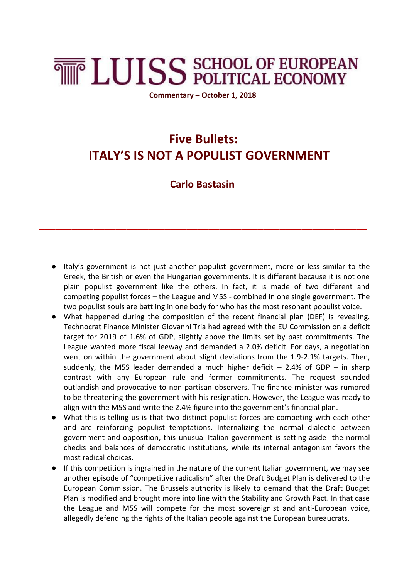## **THE LUISS SCHOOL OF EUROPEAN**

**Commentary – October 1, 2018**

## **Five Bullets: ITALY'S IS NOT A POPULIST GOVERNMENT**

## **Carlo Bastasin**

\_\_\_\_\_\_\_\_\_\_\_\_\_\_\_\_\_\_\_\_\_\_\_\_\_\_\_\_\_\_\_\_\_\_\_\_\_\_\_\_\_\_\_\_\_\_\_\_\_\_\_\_\_\_\_\_\_\_\_\_

- Italy's government is not just another populist government, more or less similar to the Greek, the British or even the Hungarian governments. It is different because it is not one plain populist government like the others. In fact, it is made of two different and competing populist forces – the League and M5S - combined in one single government. The two populist souls are battling in one body for who has the most resonant populist voice.
- What happened during the composition of the recent financial plan (DEF) is revealing. Technocrat Finance Minister Giovanni Tria had agreed with the EU Commission on a deficit target for 2019 of 1.6% of GDP, slightly above the limits set by past commitments. The League wanted more fiscal leeway and demanded a 2.0% deficit. For days, a negotiation went on within the government about slight deviations from the 1.9-2.1% targets. Then, suddenly, the M5S leader demanded a much higher deficit  $-$  2.4% of GDP  $-$  in sharp contrast with any European rule and former commitments. The request sounded outlandish and provocative to non-partisan observers. The finance minister was rumored to be threatening the government with his resignation. However, the League was ready to align with the M5S and write the 2.4% figure into the government's financial plan.
- What this is telling us is that two distinct populist forces are competing with each other and are reinforcing populist temptations. Internalizing the normal dialectic between government and opposition, this unusual Italian government is setting aside the normal checks and balances of democratic institutions, while its internal antagonism favors the most radical choices.
- If this competition is ingrained in the nature of the current Italian government, we may see another episode of "competitive radicalism" after the Draft Budget Plan is delivered to the European Commission. The Brussels authority is likely to demand that the Draft Budget Plan is modified and brought more into line with the Stability and Growth Pact. In that case the League and M5S will compete for the most sovereignist and anti-European voice, allegedly defending the rights of the Italian people against the European bureaucrats.